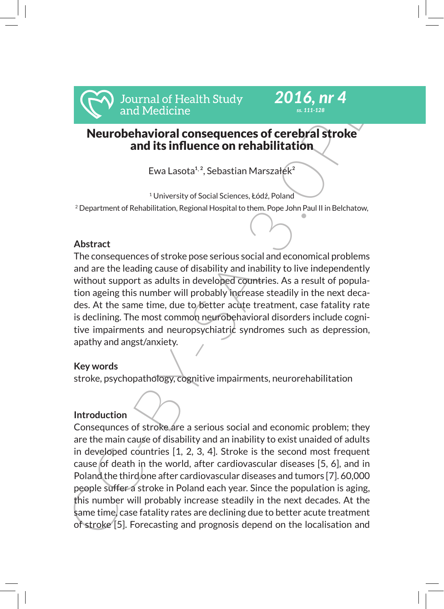

# *ss. 111-128*

*2016, nr 4*

# Neurobehavioral consequences of cerebral stroke and its influence on rehabilitation

Ewa Lasota<sup>1, 2</sup>, Sebastian Marszałek<sup>2</sup>

<sup>1</sup> University of Social Sciences, Łódź, Poland  $^2$  Department of Rehabilitation, Regional Hospital to them. Pope John Paul II in Belchatow,

# **Abstract**

The consequences of stroke pose serious social and economical problems and are the leading cause of disability and inability to live independently without support as adults in developed countries. As a result of population ageing this number will probably increase steadily in the next decades. At the same time, due to better acute treatment, case fatality rate is declining. The most common neurobehavioral disorders include cognitive impairments and neuropsychiatric syndromes such as depression, apathy and angst/anxiety.

# **Key words**

stroke, psychopathology, cognitive impairments, neurorehabilitation

# **Introduction**

Solution of Health Study 2016, nr 4<br>
and Medicine<br>
and Medicine<br>
and Healting and Its influence on rehabilitation<br>
Ewa Lasota<sup>12</sup>; Sebastian Marszalek<sup>2</sup><br>
Eva Lasota<sup>12</sup>; Sebastian Marszalek<sup>2</sup><br>
<sup>2</sup>Department of Rehabilita Consequnces of stroke are a serious social and economic problem; they are the main cause of disability and an inability to exist unaided of adults in developed countries [1, 2, 3, 4]. Stroke is the second most frequent cause of death in the world, after cardiovascular diseases [5, 6], and in Poland the third one after cardiovascular diseases and tumors [7]. 60,000 people suffer a stroke in Poland each year. Since the population is aging, this number will probably increase steadily in the next decades. At the same time, case fatality rates are declining due to better acute treatment of stroke [5]. Forecasting and prognosis depend on the localisation and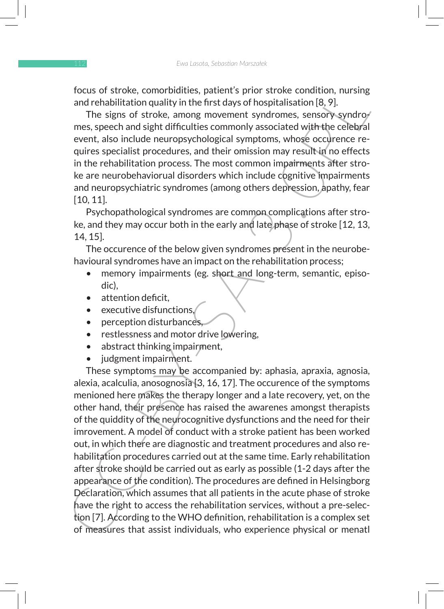focus of stroke, comorbidities, patient's prior stroke condition, nursing and rehabilitation quality in the first days of hospitalisation [8, 9].

The signs of stroke, among movement syndromes, sensory syndromes, speech and sight difficulties commonly associated with the celebral event, also include neuropsychological symptoms, whose occurence requires specialist procedures, and their omission may result in no effects in the rehabilitation process. The most common impairments after stroke are neurobehaviorual disorders which include cognitive impairments and neuropsychiatric syndromes (among others depression, apathy, fear [10, 11].

Psychopathological syndromes are common complications after stroke, and they may occur both in the early and late phase of stroke [12, 13, 14, 15].

The occurence of the below given syndromes present in the neurobehavioural syndromes have an impact on the rehabilitation process;

- memory impairments (eg. short and long-term, semantic, episodic),
- attention deficit,
- executive disfunctions,
- perception disturbances,
- restlessness and motor drive lowering,
- abstract thinking impairment,
- judgment impairment.

rocks or stroke, comorpolatites, pattents pirror stroke condition, nursing<br>and rehabilitation quality in the first days of hospitalisation [8, 9].<br>The signs of stroke, among movement syndcomes, sensory-syndroy<br>mes, speech These symptoms may be accompanied by: aphasia, apraxia, agnosia, alexia, acalculia, anosognosia [3, 16, 17]. The occurence of the symptoms menioned here makes the therapy longer and a late recovery, yet, on the other hand, their presence has raised the awarenes amongst therapists of the quiddity of the neurocognitive dysfunctions and the need for their imrovement. A model of conduct with a stroke patient has been worked out, in which there are diagnostic and treatment procedures and also rehabilitation procedures carried out at the same time. Early rehabilitation after stroke should be carried out as early as possible (1-2 days after the appearance of the condition). The procedures are defined in Helsingborg Declaration, which assumes that all patients in the acute phase of stroke have the right to access the rehabilitation services, without a pre-selection [7]. According to the WHO definition, rehabilitation is a complex set of measures that assist individuals, who experience physical or menatl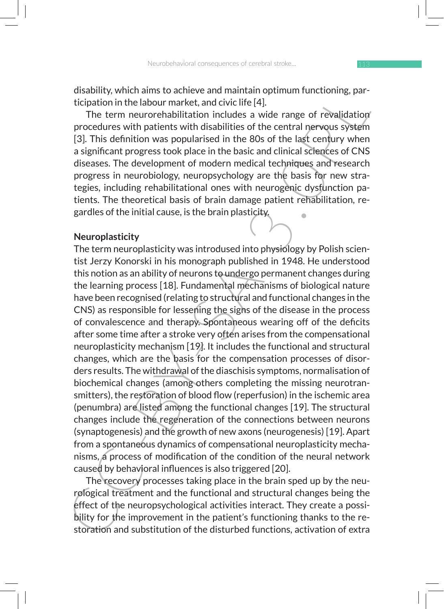disability, which aims to achieve and maintain optimum functioning, participation in the labour market, and civic life [4].

The term neurorehabilitation includes a wide range of revalidation procedures with patients with disabilities of the central nervous system [3]. This definition was popularised in the 80s of the last century when a significant progress took place in the basic and clinical sciences of CNS diseases. The development of modern medical techniques and research progress in neurobiology, neuropsychology are the basis for new strategies, including rehabilitational ones with neurogenic dysfunction patients. The theoretical basis of brain damage patient rehabilitation, regardles of the initial cause, is the brain plasticity.

#### **Neuroplasticity**

disability, when almos to achieve and maintain optimum functioning, par-<br>
disabiton in the labour market, and civic life [4].<br>
The term neurorehabilitation includes a wide range of revalidationy<br>
procedures with particles The term neuroplasticity was introdused into physiology by Polish scientist Jerzy Konorski in his monograph published in 1948. He understood this notion as an ability of neurons to undergo permanent changes during the learning process [18]. Fundamental mechanisms of biological nature have been recognised (relating to structural and functional changes in the CNS) as responsible for lessening the signs of the disease in the process of convalescence and therapy. Spontaneous wearing off of the deficits after some time after a stroke very often arises from the compensational neuroplasticity mechanism [19]. It includes the functional and structural changes, which are the basis for the compensation processes of disorders results. The withdrawal of the diaschisis symptoms, normalisation of biochemical changes (among others completing the missing neurotransmitters), the restoration of blood flow (reperfusion) in the ischemic area (penumbra) are listed among the functional changes [19]. The structural changes include the regeneration of the connections between neurons (synaptogenesis) and the growth of new axons (neurogenesis) [19]. Apart from a spontaneous dynamics of compensational neuroplasticity mechanisms, a process of modification of the condition of the neural network caused by behavioral influences is also triggered [20].

The recovery processes taking place in the brain sped up by the neurological treatment and the functional and structural changes being the effect of the neuropsychological activities interact. They create a possibility for the improvement in the patient's functioning thanks to the restoration and substitution of the disturbed functions, activation of extra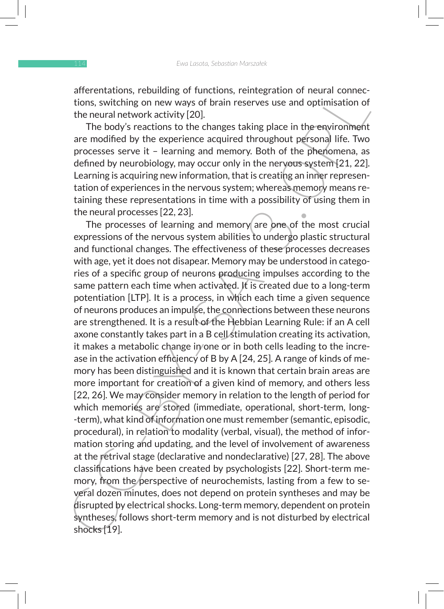afferentations, rebuilding of functions, reintegration of neural connections, switching on new ways of brain reserves use and optimisation of the neural network activity [20].

The body's reactions to the changes taking place in the environment are modified by the experience acquired throughout personal life. Two processes serve it – learning and memory. Both of the phenomena, as defined by neurobiology, may occur only in the nervous system [21, 22]. Learning is acquiring new information, that is creating an inner representation of experiences in the nervous system; whereas memory means retaining these representations in time with a possibility of using them in the neural processes [22, 23].

are remations, repoluting of trunctions, remetegration of neural connections, switching on new ways of brain reserves use and optimisation of<br>the neural network activity [20]. The body's reactions to the changes taking pla The processes of learning and memory are one of the most crucial expressions of the nervous system abilities to undergo plastic structural and functional changes. The effectiveness of these processes decreases with age, yet it does not disapear. Memory may be understood in categories of a specific group of neurons producing impulses according to the same pattern each time when activated. It is created due to a long-term potentiation [LTP]. It is a process, in which each time a given sequence of neurons produces an impulse, the connections between these neurons are strengthened. It is a result of the Hebbian Learning Rule: if an A cell axone constantly takes part in a B cell stimulation creating its activation, it makes a metabolic change in/one or in both cells leading to the increase in the activation efficiency of B by A [24, 25]. A range of kinds of memory has been distinguished and it is known that certain brain areas are more important for creation of a given kind of memory, and others less [22, 26]. We may consider memory in relation to the length of period for which memories are stored (immediate, operational, short-term, long--term), what kind of information one must remember (semantic, episodic, procedural), in relation to modality (verbal, visual), the method of information storing and updating, and the level of involvement of awareness at the retrival stage (declarative and nondeclarative) [27, 28]. The above classifications have been created by psychologists [22]. Short-term memory, from the perspective of neurochemists, lasting from a few to several dozen minutes, does not depend on protein syntheses and may be disrupted by electrical shocks. Long-term memory, dependent on protein syntheses, follows short-term memory and is not disturbed by electrical shocks [19].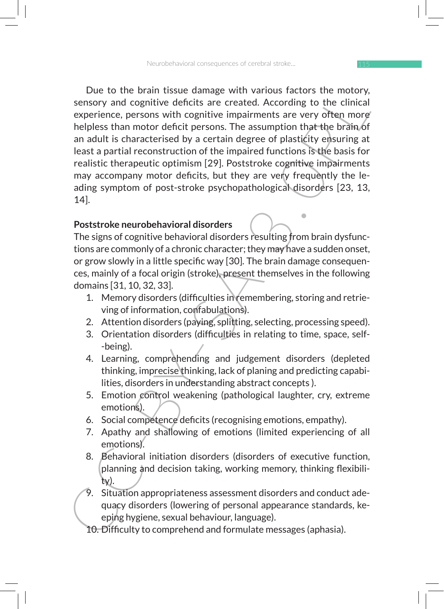Use to the nearl tissue damage with various factors the motory,<br>sensory and cognitive deficits are created. According to the clinical<br>experience, persons with cognitive impairments are very often more<br>helpess than motor de Due to the brain tissue damage with various factors the motory, sensory and cognitive deficits are created. According to the clinical experience, persons with cognitive impairments are very often more helpless than motor deficit persons. The assumption that the brain of an adult is characterised by a certain degree of plasticity ensuring at least a partial reconstruction of the impaired functions is the basis for realistic therapeutic optimism [29]. Poststroke cognitive impairments may accompany motor deficits, but they are very frequently the leading symptom of post-stroke psychopathological disorders [23, 13, 14].

### **Poststroke neurobehavioral disorders**

The signs of cognitive behavioral disorders resulting from brain dysfunctions are commonly of a chronic character; they may have a sudden onset, or grow slowly in a little specific way [30]. The brain damage consequences, mainly of a focal origin (stroke), present themselves in the following domains [31, 10, 32, 33].

- 1. Memory disorders (difficulties in remembering, storing and retrieving of information, confabulations).
- 2. Attention disorders (paying, splitting, selecting, processing speed).
- 3. Orientation disorders (difficulties in relating to time, space, self- -being).
- 4. Learning, comprehending and judgement disorders (depleted thinking, imprecise thinking, lack of planing and predicting capabilities, disorders in understanding abstract concepts ).
- 5. Emotion control weakening (pathological laughter, cry, extreme emotions).
- 6. Social competence deficits (recognising emotions, empathy).
- 7. Apathy and shallowing of emotions (limited experiencing of all emotions).
- 8. Behavioral initiation disorders (disorders of executive function, planning and decision taking, working memory, thinking flexibility).
- 9. Situation appropriateness assessment disorders and conduct adequacy disorders (lowering of personal appearance standards, keeping hygiene, sexual behaviour, language).
- 10. Difficulty to comprehend and formulate messages (aphasia).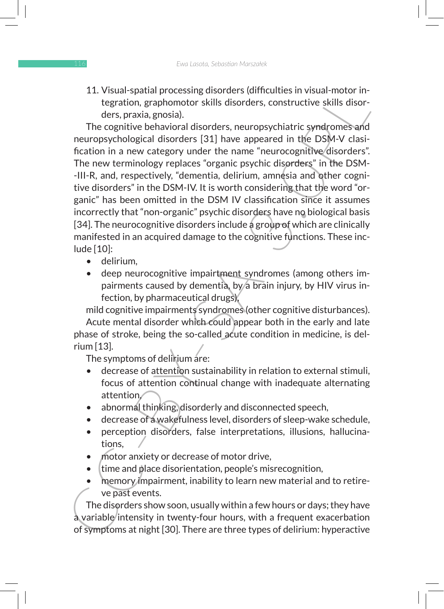11. Visual-spatial processing disorders (difficulties in visual-motor integration, graphomotor skills disorders, constructive skills disorders, praxia, gnosia).

11. Visual-spatial processing dissorders (umcutties in visual-motor in-<br>tegration, graphomotor skills disorders, constructive skills disorders, praxia, gnosia).<br>
ders, praxia, gnosia).<br>
The cognitive behavioral disorders, The cognitive behavioral disorders, neuropsychiatric syndromes and neuropsychological disorders [31] have appeared in the DSM-V clasification in a new category under the name "neurocognitive disorders". The new terminology replaces "organic psychic disorders" in the DSM- -III-R, and, respectively, "dementia, delirium, amnesia and other cognitive disorders" in the DSM-IV. It is worth considering that the word "organic" has been omitted in the DSM IV classification since it assumes incorrectly that "non-organic" psychic disorders have no biological basis [34]. The neurocognitive disorders include a group of which are clinically manifested in an acquired damage to the cognitive functions. These include [10]:

- delirium,
- deep neurocognitive impairtment syndromes (among others impairments caused by dementia, by a brain injury, by HIV virus infection, by pharmaceutical drugs),

mild cognitive impairments syndromes (other cognitive disturbances). Acute mental disorder which could appear both in the early and late phase of stroke, being the so-called acute condition in medicine, is delrium [13].

The symptoms of delinium are:

- decrease of attention sustainability in relation to external stimuli, focus of attention continual change with inadequate alternating attention,
- abnormal thinking, disorderly and disconnected speech,
- decrease of a wakefulness level, disorders of sleep-wake schedule,
- perception disorders, false interpretations, illusions, hallucinations,
- motor anxiety or decrease of motor drive,
- time and place disorientation, people's misrecognition,
- memory impairment, inability to learn new material and to retireve past events.

The disorders show soon, usually within a few hours or days; they have a variable intensity in twenty-four hours, with a frequent exacerbation of symptoms at night [30]. There are three types of delirium: hyperactive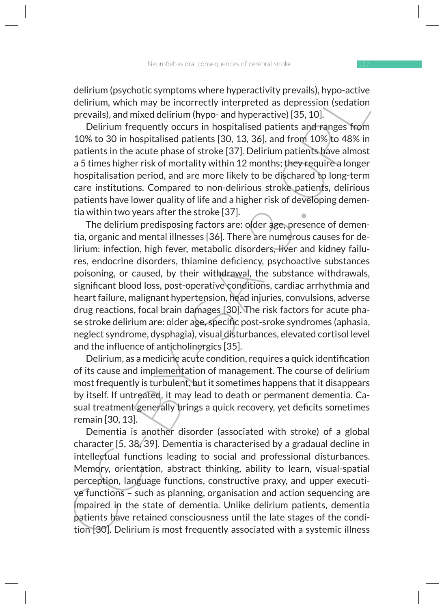delirium (psychotic symptoms where hyperactivity prevails), hypo-active delirium, which may be incorrectly interpreted as depression (sedation prevails), and mixed delirium (hypo- and hyperactive) [35, 10].

Delirium frequently occurs in hospitalised patients and ranges from 10% to 30 in hospitalised patients [30, 13, 36], and from 10% to 48% in patients in the acute phase of stroke [37]. Delirium patients have almost a 5 times higher risk of mortality within 12 months; they require a longer hospitalisation period, and are more likely to be dischared to long-term care institutions. Compared to non-delirious stroke patients, delirious patients have lower quality of life and a higher risk of developing dementia within two years after the stroke [37].

delirium (psychotoc symptoms where nyperactivity prevails), hypo-active<br>delirium, which may be incorrectly interpreted as depression (sedation<br>prevails), and mixed delirium (hypo- and hyperactive) [35, 10].<br>Delirium freque The delirium predisposing factors are: older age, presence of dementia, organic and mental illnesses [36]. There are numerous causes for delirium: infection, high fever, metabolic disorders, liver and kidney failures, endocrine disorders, thiamine deficiency, psychoactive substances poisoning, or caused, by their withdrawal, the substance withdrawals, significant blood loss, post-operative conditions, cardiac arrhythmia and heart failure, malignant hypertension, head injuries, convulsions, adverse drug reactions, focal brain damages [30]. The risk factors for acute phase stroke delirium are: older age, specific post-sroke syndromes (aphasia, neglect syndrome, dysphagia), visual disturbances, elevated cortisol level and the influence of anticholinergics [35].

Delirium, as a medicine acute condition, requires a quick identification of its cause and implementation of management. The course of delirium most frequently is turbulent, but it sometimes happens that it disappears by itself. If untreated, it may lead to death or permanent dementia. Casual treatment generally brings a quick recovery, yet deficits sometimes remain [30, 13].

Dementia is another disorder (associated with stroke) of a global character [5, 38/39]. Dementia is characterised by a gradaual decline in intellectual functions leading to social and professional disturbances. Memory, orientation, abstract thinking, ability to learn, visual-spatial perception, language functions, constructive praxy, and upper executive functions – such as planning, organisation and action sequencing are impaired in the state of dementia. Unlike delirium patients, dementia patients have retained consciousness until the late stages of the condition [30]. Delirium is most frequently associated with a systemic illness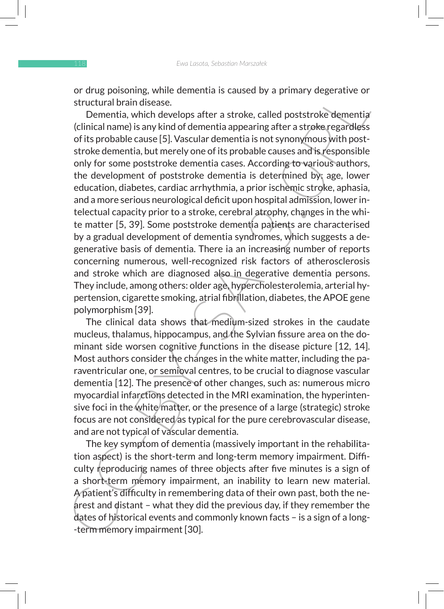or drug poisoning, while dementia is caused by a primary degerative or structural brain disease.

or area possoning, while demential is caused by a primary degerative or<br>structural brian disease.<br>Dementia, which develops after a stroke, called poststroke dementiar<br>(clinical name) is any kind of dementia a apearing afte Dementia, which develops after a stroke, called poststroke dementia (clinical name) is any kind of dementia appearing after a stroke regardless of its probable cause [5]. Vascular dementia is not synonymous with poststroke dementia, but merely one of its probable causes and is responsible only for some poststroke dementia cases. According to various authors, the development of poststroke dementia is determined by: age, lower education, diabetes, cardiac arrhythmia, a prior ischemic stroke, aphasia, and a more serious neurological deficit upon hospital admission, lower intelectual capacity prior to a stroke, cerebral atrophy, changes in the white matter [5, 39]. Some poststroke dementia patients are characterised by a gradual development of dementia syndromes, which suggests a degenerative basis of dementia. There ia an increasing number of reports concerning numerous, well-recognized risk factors of atherosclerosis and stroke which are diagnosed also in degerative dementia persons. They include, among others: older age, hypercholesterolemia, arterial hypertension, cigarette smoking, atrial fibrillation, diabetes, the APOE gene polymorphism [39].

The clinical data shows that medium-sized strokes in the caudate mucleus, thalamus, hippocampus, and the Sylvian fissure area on the dominant side worsen cognitive functions in the disease picture [12, 14]. Most authors consider the changes in the white matter, including the paraventricular one, or semioval centres, to be crucial to diagnose vascular dementia [12]. The presence of other changes, such as: numerous micro myocardial infarctions detected in the MRI examination, the hyperintensive foci in the white matter, or the presence of a large (strategic) stroke focus are not considered as typical for the pure cerebrovascular disease, and are not typical of vascular dementia.

The key symptom of dementia (massively important in the rehabilitation aspect) is the short-term and long-term memory impairment. Difficulty reproducing names of three objects after five minutes is a sign of a short-term memory impairment, an inability to learn new material. A patient's difficulty in remembering data of their own past, both the nearest and distant – what they did the previous day, if they remember the dates of historical events and commonly known facts – is a sign of a long- -term memory impairment [30].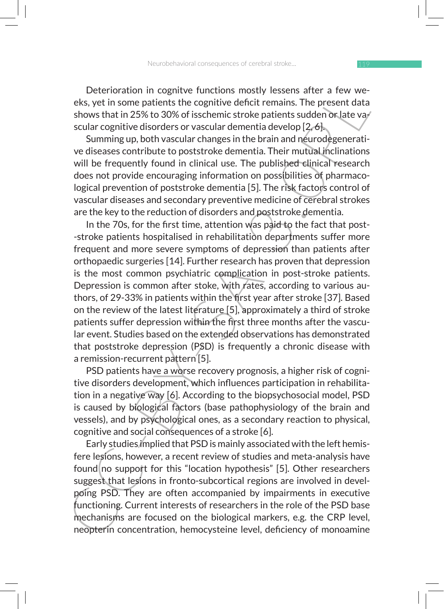Deterioration in cognitve functions mostly lessens after a few weeks, yet in some patients the cognitive deficit remains. The present data shows that in 25% to 30% of isschemic stroke patients sudden or late va $\ell$ scular cognitive disorders or vascular dementia develop [2, 6].

Summing up, both vascular changes in the brain and neurodegenerative diseases contribute to poststroke dementia. Their mutual inclinations will be frequently found in clinical use. The published clinical research does not provide encouraging information on possibilities of pharmacological prevention of poststroke dementia [5]. The risk factors control of vascular diseases and secondary preventive medicine of cerebral strokes are the key to the reduction of disorders and poststroke dementia.

Leteroration in cognitive functions mostly iesesns after a rew we-<br>vector in experimentative deficit remains. The present data shows that in 25% to 30% of isschemic stroke patients sudden or late vary<br>scular cognitive diso In the 70s, for the first time, attention was paid to the fact that post- -stroke patients hospitalised in rehabilitation departments suffer more frequent and more severe symptoms of depression than patients after orthopaedic surgeries [14]. Further research has proven that depression is the most common psychiatric complication in post-stroke patients. Depression is common after stoke, with rates, according to various authors, of 29-33% in patients within the first year after stroke [37]. Based on the review of the latest literature [5], approximately a third of stroke patients suffer depression within the first three months after the vascular event. Studies based on the extended observations has demonstrated that poststroke depression (PSD) is frequently a chronic disease with a remission-recurrent pattern [5].

PSD patients have a worse recovery prognosis, a higher risk of cognitive disorders development, which influences participation in rehabilitation in a negative way [6]. According to the biopsychosocial model, PSD is caused by biological factors (base pathophysiology of the brain and vessels), and by psychological ones, as a secondary reaction to physical, cognitive and social consequences of a stroke [6].

Early studies implied that PSD is mainly associated with the left hemisfere lesions, however, a recent review of studies and meta-analysis have found no support for this "location hypothesis" [5]. Other researchers suggest that lesions in fronto-subcortical regions are involved in develpoing PSD. They are often accompanied by impairments in executive functioning. Current interests of researchers in the role of the PSD base mechanisms are focused on the biological markers, e.g. the CRP level, neopterin concentration, hemocysteine level, deficiency of monoamine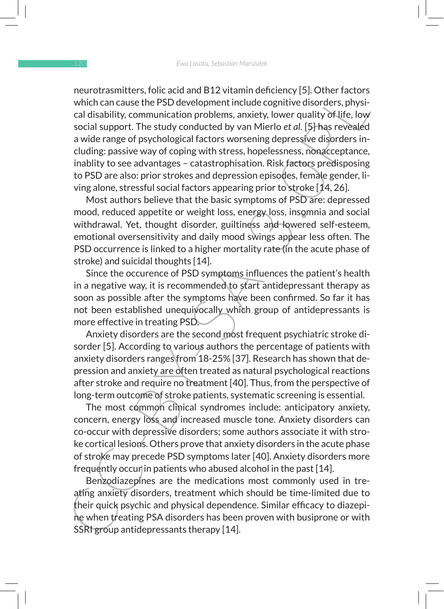neurorrasmitters, folic acid and B12/Vramin denotency [5]. Unner factors which can cause the PSD development include cognitive disorders, physical disability, communication problems, anxiety, lower quality of life, low soc neurotrasmitters, folic acid and B12 vitamin deficiency [5]. Other factors which can cause the PSD development include cognitive disorders, physical disability, communication problems, anxiety, lower quality of life, low social support. The study conducted by van Mierlo *et al*. [5] has revealed a wide range of psychological factors worsening depressive disorders including: passive way of coping with stress, hopelessness, nonacceptance, inablity to see advantages – catastrophisation. Risk factors predisposing to PSD are also: prior strokes and depression episodes, female gender, living alone, stressful social factors appearing prior to stroke [14, 26].

Most authors believe that the basic symptoms of PSD are: depressed mood, reduced appetite or weight loss, energy loss, insomnia and social withdrawal. Yet, thought disorder, guiltiness and lowered self-esteem, emotional oversensitivity and daily mood swings appear less often. The PSD occurrence is linked to a higher mortality rate (in the acute phase of stroke) and suicidal thoughts [14].

Since the occurence of PSD symptoms influences the patient's health in a negative way, it is recommended to start antidepressant therapy as soon as possible after the symptoms have been confirmed. So far it has not been established unequivocally which group of antidepressants is more effective in treating PSD.

Anxiety disorders are the second most frequent psychiatric stroke disorder [5]. According to various authors the percentage of patients with anxiety disorders ranges from 18-25% [37]. Research has shown that depression and anxiety are often treated as natural psychological reactions after stroke and require no treatment [40]. Thus, from the perspective of long-term outcome of stroke patients, systematic screening is essential.

The most common clinical syndromes include: anticipatory anxiety, concern, energy loss and increased muscle tone. Anxiety disorders can co-occur with depressive disorders; some authors associate it with stroke cortical lesions. Others prove that anxiety disorders in the acute phase of stroke may precede PSD symptoms later [40]. Anxiety disorders more frequently occur in patients who abused alcohol in the past [14].

Benzodiazepines are the medications most commonly used in treating anxiety disorders, treatment which should be time-limited due to their quick psychic and physical dependence. Similar efficacy to diazepine when treating PSA disorders has been proven with busiprone or with SSRI group antidepressants therapy [14].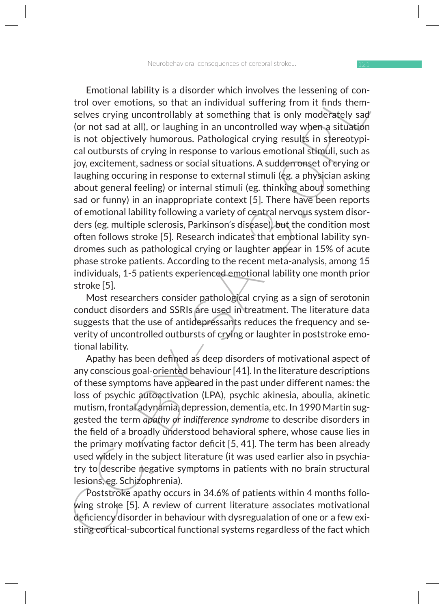Enotional laadlity is a disorder which involves the lessening or con-<br>trol over emotions, so that an individual suffering from it finds them-<br>selves crying uncontrollably at something that is only moderately sad<br>(or not sa Emotional lability is a disorder which involves the lessening of control over emotions, so that an individual suffering from it finds themselves crying uncontrollably at something that is only moderately sad (or not sad at all), or laughing in an uncontrolled way when a situation is not objectively humorous. Pathological crying results in stereotypical outbursts of crying in response to various emotional stimuli, such as joy, excitement, sadness or social situations. A sudden onset of crying or laughing occuring in response to external stimuli (eg. a physician asking about general feeling) or internal stimuli (eg. thinking about something sad or funny) in an inappropriate context [5]. There have been reports of emotional lability following a variety of central nervous system disorders (eg. multiple sclerosis, Parkinson's disease), but the condition most often follows stroke [5]. Research indicates that emotional lability syndromes such as pathological crying or laughter appear in 15% of acute phase stroke patients. According to the recent meta-analysis, among 15 individuals, 1-5 patients experienced emotional lability one month prior stroke [5].

Most researchers consider pathological crying as a sign of serotonin conduct disorders and SSRIs are used in treatment. The literature data suggests that the use of antidepressants reduces the frequency and severity of uncontrolled outbursts of crying or laughter in poststroke emotional lability.

Apathy has been defined as deep disorders of motivational aspect of any conscious goal-oriented behaviour [41]. In the literature descriptions of these symptoms have appeared in the past under different names: the loss of psychic autoactivation (LPA), psychic akinesia, aboulia, akinetic mutism, frontal adynamia, depression, dementia, etc. In 1990 Martin suggested the term *apathy or indifference syndrome* to describe disorders in the field of a broadly understood behavioral sphere, whose cause lies in the primary motivating factor deficit [5, 41]. The term has been already used widely in the subject literature (it was used earlier also in psychiatry to describe negative symptoms in patients with no brain structural lesions, eg. Schizophrenia).

Poststroke apathy occurs in 34.6% of patients within 4 months following stroke [5]. A review of current literature associates motivational deficiency disorder in behaviour with dysregualation of one or a few existing cortical-subcortical functional systems regardless of the fact which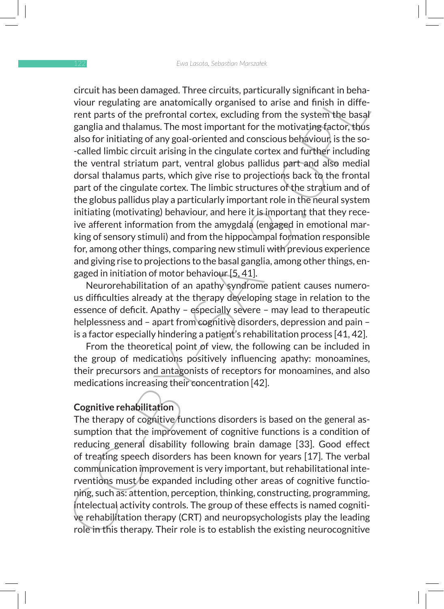creation angea. Inree cricular, particularly signincant in bena-<br>viour regulating are anatomically organised to arise and finish in diffe-<br>rent parts of the prefrontal cortex, excluding from the system<sup>3</sup>teleo.<sup>3</sup><br>also for circuit has been damaged. Three circuits, particurally significant in behaviour regulating are anatomically organised to arise and finish in different parts of the prefrontal cortex, excluding from the system the basal ganglia and thalamus. The most important for the motivating factor, thus also for initiating of any goal-oriented and conscious behaviour, is the so- -called limbic circuit arising in the cingulate cortex and further including the ventral striatum part, ventral globus pallidus part and also medial dorsal thalamus parts, which give rise to projections back to the frontal part of the cingulate cortex. The limbic structures of the stratium and of the globus pallidus play a particularly important role in the neural system initiating (motivating) behaviour, and here it is important that they receive afferent information from the amygdala (engaged in emotional marking of sensory stimuli) and from the hippocampal formation responsible for, among other things, comparing new stimuli with previous experience and giving rise to projections to the basal ganglia, among other things, engaged in initiation of motor behaviour [5, 41].

Neurorehabilitation of an apathy syndrome patient causes numerous difficulties already at the therapy developing stage in relation to the essence of deficit. Apathy – especially severe – may lead to therapeutic helplessness and – apart from cognitive disorders, depression and pain – is a factor especially hindering a patient's rehabilitation process [41, 42].

From the theoretical point of view, the following can be included in the group of medications positively influencing apathy: monoamines, their precursors and antagonists of receptors for monoamines, and also medications increasing their concentration [42].

#### **Cognitive rehabilitation**

The therapy of cognitive functions disorders is based on the general assumption that the improvement of cognitive functions is a condition of reducing general disability following brain damage [33]. Good effect of treating speech disorders has been known for years [17]. The verbal communication improvement is very important, but rehabilitational interventions must be expanded including other areas of cognitive functioning, such as: attention, perception, thinking, constructing, programming, intelectual activity controls. The group of these effects is named cognitive rehabilitation therapy (CRT) and neuropsychologists play the leading role in this therapy. Their role is to establish the existing neurocognitive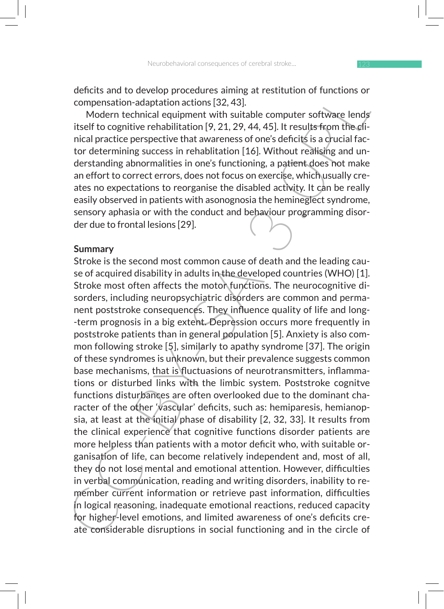deficits and to develop procedures aiming at restitution of functions or compensation-adaptation actions [32, 43].

Modern technical equipment with suitable computer software lends itself to cognitive rehabilitation [9, 21, 29, 44, 45]. It results from the clinical practice perspective that awareness of one's deficits is a crucial factor determining success in rehablitation [16]. Without realising and understanding abnormalities in one's functioning, a patient does not make an effort to correct errors, does not focus on exercise, which usually creates no expectations to reorganise the disabled activity. It can be really easily observed in patients with asonognosia the hemineglect syndrome, sensory aphasia or with the conduct and behaviour programming disorder due to frontal lesions [29].

#### **Summary**

enetists and to develop proceaures aiming at restrutution or functions or<br>compensation-adaptation actions [32,43].<br>Modern technical equipment with suitable computer software lends<br>itself to cognitive rehabilitation [9, 21, Stroke is the second most common cause of death and the leading cause of acquired disability in adults in the developed countries (WHO) [1]. Stroke most often affects the motor functions. The neurocognitive disorders, including neuropsychiatric disorders are common and permanent poststroke consequences. They influence quality of life and long- -term prognosis in a big extent. Depression occurs more frequently in poststroke patients than in general population [5]. Anxiety is also common following stroke [5], similarly to apathy syndrome [37]. The origin of these syndromes is unknown, but their prevalence suggests common base mechanisms, that is fluctuasions of neurotransmitters, inflammations or disturbed links with the limbic system. Poststroke cognitve functions disturbances are often overlooked due to the dominant character of the other 'vascular' deficits, such as: hemiparesis, hemianopsia, at least at the initial phase of disability  $[2, 32, 33]$ . It results from the clinical experience that cognitive functions disorder patients are more helpless than patients with a motor deficit who, with suitable organisation of life, can become relatively independent and, most of all, they do not lose mental and emotional attention. However, difficulties in verbal communication, reading and writing disorders, inability to remember current information or retrieve past information, difficulties in logical reasoning, inadequate emotional reactions, reduced capacity for higher-level emotions, and limited awareness of one's deficits create considerable disruptions in social functioning and in the circle of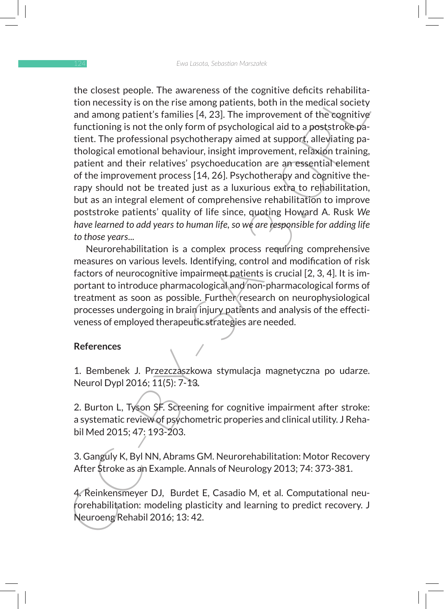the cooset pope). Ine awareness or the compute dentrs enables<br>tion necessity is on the rise among patients, both in the medical society<br>and among patients families [4, 23]. The improvement of the cognitive<br>functioning is n the closest people. The awareness of the cognitive deficits rehabilitation necessity is on the rise among patients, both in the medical society and among patient's families [4, 23]. The improvement of the cognitive functioning is not the only form of psychological aid to a poststroke patient. The professional psychotherapy aimed at support, alleviating pathological emotional behaviour, insight improvement, relaxion training, patient and their relatives' psychoeducation are an essential element of the improvement process [14, 26]. Psychotherapy and cognitive therapy should not be treated just as a luxurious extra to rehabilitation, but as an integral element of comprehensive rehabilitation to improve poststroke patients' quality of life since, quoting Howard A. Rusk *We have learned to add years to human life, so we are responsible for adding life to those years*...

Neurorehabilitation is a complex process requiring comprehensive measures on various levels. Identifying, control and modification of risk factors of neurocognitive impairment patients is crucial [2, 3, 4]. It is important to introduce pharmacological and non-pharmacological forms of treatment as soon as possible. Further research on neurophysiological processes undergoing in brain injury patients and analysis of the effectiveness of employed therapeutic strategies are needed.

#### **References**

1. Bembenek J. Przezczaszkowa stymulacja magnetyczna po udarze. Neurol Dypl 2016; 11(5): 7-13.

2. Burton L, Tyson SF. Screening for cognitive impairment after stroke: a systematic review of psychometric properies and clinical utility. J Rehabil Med 2015; 47: 193-203.

3. Ganguly K, Byl NN, Abrams GM. Neurorehabilitation: Motor Recovery After Stroke as an Example. Annals of Neurology 2013; 74: 373-381.

4. Reinkensmeyer DJ, Burdet E, Casadio M, et al. Computational neurorehabilitation: modeling plasticity and learning to predict recovery. J Neuroeng Rehabil 2016; 13: 42.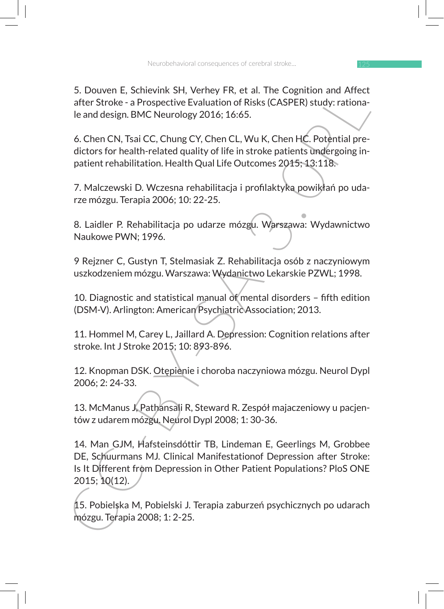5. Douven E, Schievink SH, Verhey FR, et al. The Cognition and Affect after Stroke - a Prospective Evaluation of Risks (CASPER) study: rationale and design. BMC Neurology 2016; 16:65.

6. Chen CN, Tsai CC, Chung CY, Chen CL, Wu K, Chen HC. Potential predictors for health-related quality of life in stroke patients undergoing inpatient rehabilitation. Health Qual Life Outcomes 2015; 13:118.

7. Malczewski D. Wczesna rehabilitacja i profilaktyka powikłań po udarze mózgu. Terapia 2006; 10: 22-25.

8. Laidler P. Rehabilitacja po udarze mózgu. Warszawa: Wydawnictwo Naukowe PWN; 1996.

9 Rejzner C, Gustyn T, Stelmasiak Z. Rehabilitacja osób z naczyniowym uszkodzeniem mózgu. Warszawa: Wydanictwo Lekarskie PZWL; 1998.

10. Diagnostic and statistical manual of mental disorders – fifth edition (DSM-V). Arlington: American Psychiatric Association; 2013.

11. Hommel M, Carey L, Jaillard A. Depression: Cognition relations after stroke. Int J Stroke 2015; 10: 893-896.

12. Knopman DSK. Otępienie i choroba naczyniowa mózgu. Neurol Dypl 2006; 2: 24-33.

13. McManus J, Pathansali R, Steward R. Zespół majaczeniowy u pacjentów z udarem mózgu. Neurol Dypl 2008; 1: 30-36.

3. Douven E, schewink Srt, verrey Frk, et al. ine Cogniton and Artects.<br>
after Stroke - a Prospective Evaluation of Risks (CASPER) study: rationa-<br>
learn of Risks (CASPER) study: rationa-<br>
learnd design. BMC Neurology 201 14. Man GJM, Hafsteinsdóttir TB, Lindeman E, Geerlings M, Grobbee DE, Schuurmans MJ. Clinical Manifestationof Depression after Stroke: Is It Different from Depression in Other Patient Populations? PloS ONE 2015; 10(12).

15. Pobielska M, Pobielski J. Terapia zaburzeń psychicznych po udarach mózgu. Terapia 2008; 1: 2-25.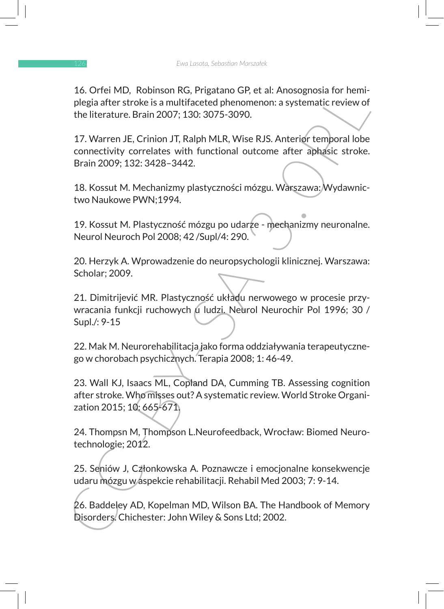16. Orfei MD, Robinson RG, Prigatano GP, et al: Anosognosia for hemiplegia after stroke is a multifaceted phenomenon: a systematic review of the literature. Brain 2007; 130: 3075-3090.

17. Warren JE, Crinion JT, Ralph MLR, Wise RJS. Anterior temporal lobe connectivity correlates with functional outcome after aphasic stroke. Brain 2009; 132: 3428–3442.

18. Kossut M. Mechanizmy plastyczności mózgu. Warszawa: Wydawnictwo Naukowe PWN;1994.

19. Kossut M. Plastyczność mózgu po udarze - mechanizmy neuronalne. Neurol Neuroch Pol 2008; 42 /Supl/4: 290.

20. Herzyk A. Wprowadzenie do neuropsychologii klinicznej. Warszawa: Scholar; 2009.

21. Dimitrijević MR. Plastyczność układu nerwowego w procesie przywracania funkcji ruchowych u ludzi. Neurol Neurochir Pol 1996; 30 / Supl./: 9-15

22. Mak M. Neurorehabilitacja jako forma oddziaływania terapeutycznego w chorobach psychicznych. Terapia 2008; 1: 46-49.

10. Orrel MU, Kobinson Kv, Prigatano Gr. et al: Anosognosia tor nemi-<br>plegia after stroke is a multifaceted phenomenon: a systematic review of<br>plegia after stroke is a multifaceted phenomenon: a systematic review of<br>the li 23. Wall KJ, Isaacs ML, Copland DA, Cumming TB. Assessing cognition after stroke. Who misses out? A systematic review. World Stroke Organization 2015; 10: 665-671.

24. Thompsn M, Thompson L.Neurofeedback, Wrocław: Biomed Neurotechnologie; 2012.

25. Seniów J, Członkowska A. Poznawcze i emocjonalne konsekwencje udaru mózgu w aspekcie rehabilitacji. Rehabil Med 2003; 7: 9-14.

26. Baddeley AD, Kopelman MD, Wilson BA. The Handbook of Memory Disorders. Chichester: John Wiley & Sons Ltd; 2002.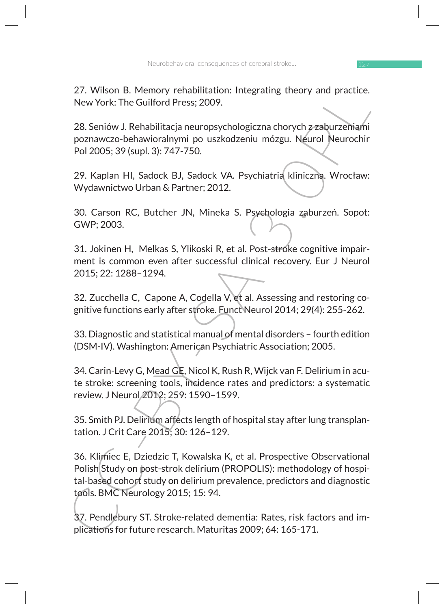27. Wilson B. Memory rehabilitation: Integrating theory and practice. New York: The Guilford Press; 2009.

28. Seniów J. Rehabilitacja neuropsychologiczna chorych z zaburzeniami poznawczo-behawioralnymi po uszkodzeniu mózgu. Neurol Neurochir Pol 2005; 39 (supl. 3): 747-750.

29. Kaplan HI, Sadock BJ, Sadock VA. Psychiatria kliniczna. Wrocław: Wydawnictwo Urban & Partner; 2012.

30. Carson RC, Butcher JN, Mineka S. Psychologia zaburzeń. Sopot: GWP; 2003.

31. Jokinen H, Melkas S, Ylikoski R, et al. Post-stroke cognitive impairment is common even after successful clinical recovery. Eur J Neurol 2015; 22: 1288–1294.

32. Zucchella C, Capone A, Codella V, et al. Assessing and restoring cognitive functions early after stroke. Funct Neurol 2014; 29(4): 255-262.

33. Diagnostic and statistical manual of mental disorders – fourth edition (DSM-IV). Washington: American Psychiatric Association; 2005.

34. Carin-Levy G, Mead GE, Nicol K, Rush R, Wijck van F. Delirium in acute stroke: screening tools, incidence rates and predictors: a systematic review. J Neurol 2012; 259: 1590–1599.

35. Smith PJ. Delirium affects length of hospital stay after lung transplantation. J Crit Care 2015; 30: 126–129.

2.1. Willson B. Memory renaulitation: integrating theory and practice.<br>
New York: The Guilford Press; 2009.<br>
28. Seniów J. Rehabilitacja neuropsychologiczna chorych zraburzeniami<br>
poznavczo-behawioralnymi po uszkodzeniu mó 36. Klimiec E, Dziedzic T, Kowalska K, et al. Prospective Observational Polish Study on post-strok delirium (PROPOLIS): methodology of hospital-based cohort study on delirium prevalence, predictors and diagnostic tools. BMC Neurology 2015; 15: 94.

37. Pendlebury ST. Stroke-related dementia: Rates, risk factors and implications for future research. Maturitas 2009; 64: 165-171.